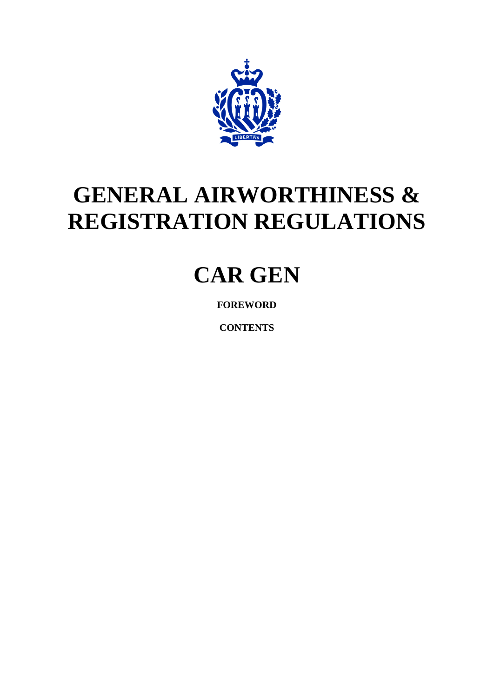

# **GENERAL AIRWORTHINESS & REGISTRATION REGULATIONS**

# **CAR GEN**

**[FOREWORD](#page-2-0)**

**[CONTENTS](#page-6-0)**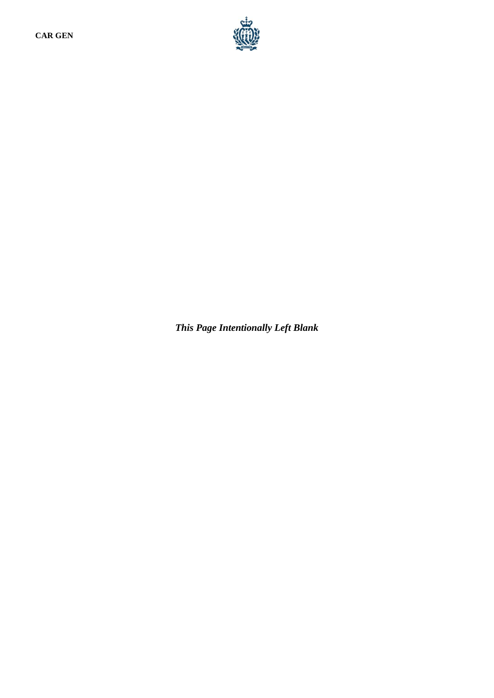

*This Page Intentionally Left Blank*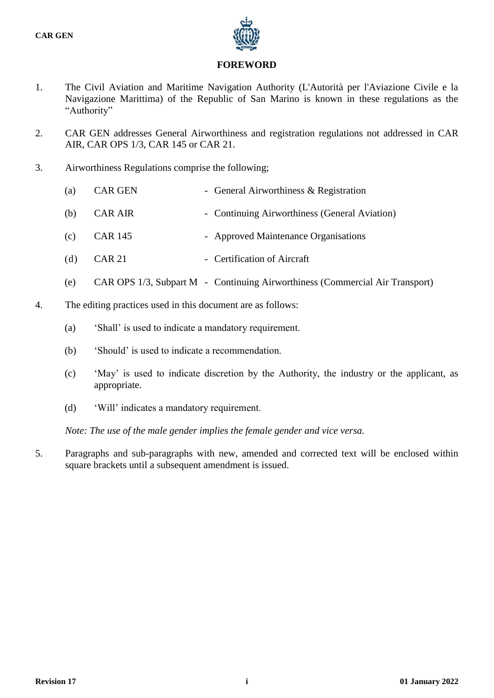

# **FOREWORD**

- <span id="page-2-0"></span>1. The Civil Aviation and Maritime Navigation Authority (L'Autorità per l'Aviazione Civile e la Navigazione Marittima) of the Republic of San Marino is known in these regulations as the "Authority"
- 2. CAR GEN addresses General Airworthiness and registration regulations not addressed in CAR AIR, CAR OPS 1/3, CAR 145 or CAR 21.
- 3. Airworthiness Regulations comprise the following;
	- (a) CAR GEN General Airworthiness & Registration
	- (b) CAR AIR Continuing Airworthiness (General Aviation)
	- (c) CAR 145 Approved Maintenance Organisations
	- (d) CAR 21 Certification of Aircraft
	- (e) CAR OPS 1/3, Subpart M Continuing Airworthiness (Commercial Air Transport)
- 4. The editing practices used in this document are as follows:
	- (a) 'Shall' is used to indicate a mandatory requirement.
	- (b) 'Should' is used to indicate a recommendation.
	- (c) 'May' is used to indicate discretion by the Authority, the industry or the applicant, as appropriate.
	- (d) 'Will' indicates a mandatory requirement.

*Note: The use of the male gender implies the female gender and vice versa.*

5. Paragraphs and sub-paragraphs with new, amended and corrected text will be enclosed within square brackets until a subsequent amendment is issued.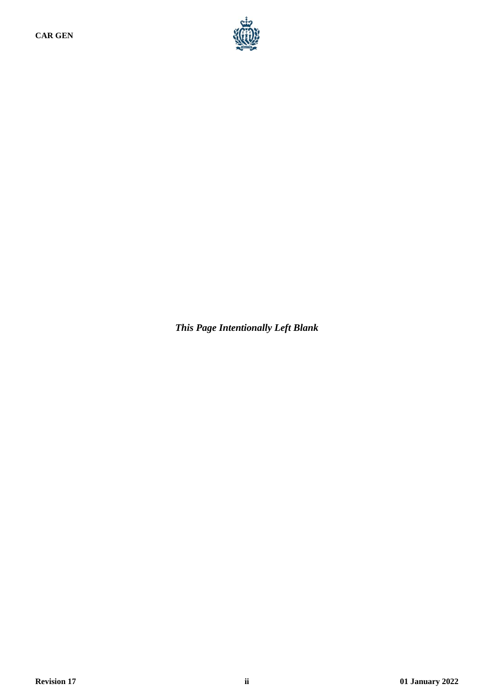

*This Page Intentionally Left Blank*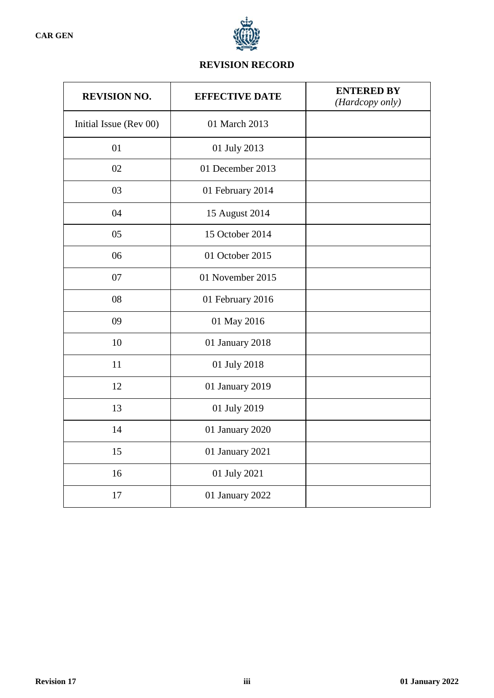

# **REVISION RECORD**

<span id="page-4-0"></span>

| <b>REVISION NO.</b>    | <b>EFFECTIVE DATE</b> | <b>ENTERED BY</b><br>(Hardcopy only) |
|------------------------|-----------------------|--------------------------------------|
| Initial Issue (Rev 00) | 01 March 2013         |                                      |
| 01                     | 01 July 2013          |                                      |
| 02                     | 01 December 2013      |                                      |
| 03                     | 01 February 2014      |                                      |
| 04                     | 15 August 2014        |                                      |
| 05                     | 15 October 2014       |                                      |
| 06                     | 01 October 2015       |                                      |
| 07                     | 01 November 2015      |                                      |
| 08                     | 01 February 2016      |                                      |
| 09                     | 01 May 2016           |                                      |
| 10                     | 01 January 2018       |                                      |
| 11                     | 01 July 2018          |                                      |
| 12                     | 01 January 2019       |                                      |
| 13                     | 01 July 2019          |                                      |
| 14                     | 01 January 2020       |                                      |
| 15                     | 01 January 2021       |                                      |
| 16                     | 01 July 2021          |                                      |
| 17                     | 01 January 2022       |                                      |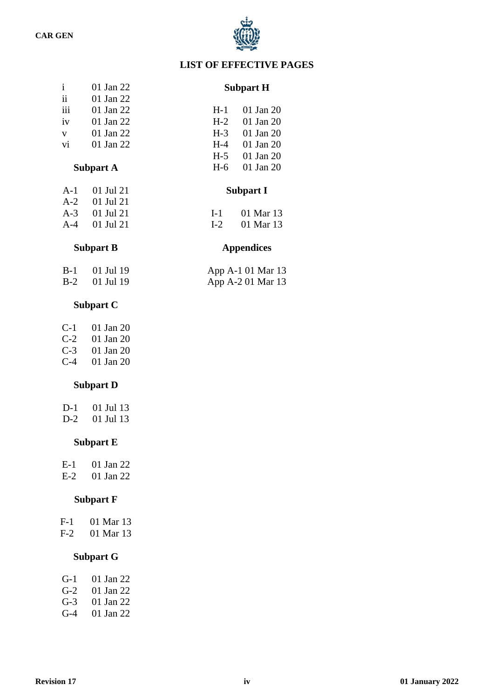#### <span id="page-5-0"></span>**CAR GEN**



# **LIST OF EFFECTIVE PAGES**

# **Subpart H**

H-1 01 Jan 20 H-2 01 Jan 20<br>H-3 01 Jan 20 01 Jan 20

H-4 01 Jan 20 H-5 01 Jan 20 H-6 01 Jan 20

**Subpart I**

I-1 01 Mar 13<br>I-2 01 Mar 13 01 Mar 13

| 11  | 01 Jan 22 |  |
|-----|-----------|--|
| iii | 01 Jan 22 |  |
| iv  | 01 Jan 22 |  |
| V   | 01 Jan 22 |  |
| vi  | 01 Jan 22 |  |
|     |           |  |

# **Subpart A**

i 01 Jan 22

| 01 Jul 21 |
|-----------|
| 01 Jul 21 |
| 01 Jul 21 |
| 01 Jul 21 |
|           |

# **Subpart B**

# **Appendices**

| $B-1$ 01 Jul 19 | App A-1 01 Mar 13 |
|-----------------|-------------------|
| $B-2$ 01 Jul 19 | App A-2 01 Mar 13 |

# **Subpart C**

| $\mathsf{C}\mathsf{L}\mathsf{I}$ | 01 Jan 20 |
|----------------------------------|-----------|
| $C-2$                            | 01 Jan 20 |
| $C-3$                            | 01 Jan 20 |
| $C-4$                            | 01 Jan 20 |

# **Subpart D**

| $D-1$ | 01 Jul 13 |  |
|-------|-----------|--|
| $D-2$ | 01 Jul 13 |  |

# **Subpart E**

| E-1   | 01 Jan 22 |  |
|-------|-----------|--|
| $E-2$ | 01 Jan 22 |  |

# **Subpart F**

| $F-1$ | 01 Mar 13 |  |
|-------|-----------|--|
| $F-2$ | 01 Mar 13 |  |

# **Subpart G**

| $G-1$ | 01 Jan 22 |
|-------|-----------|
| $G-2$ | 01 Jan 22 |
| $G-3$ | 01 Jan 22 |
| $G-4$ | 01 Jan 22 |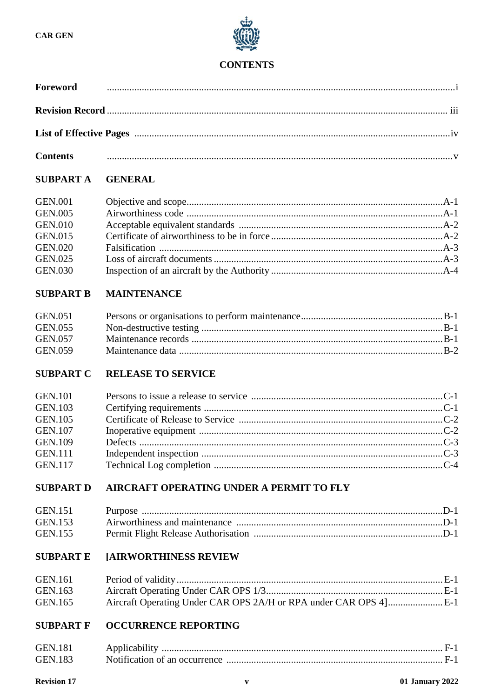

# **CONTENTS**

<span id="page-6-0"></span>

| Foreword         |                |
|------------------|----------------|
|                  |                |
|                  |                |
| <b>Contents</b>  |                |
| <b>SUBPART A</b> | <b>GENERAL</b> |
| <b>GEN.001</b>   |                |
| GEN.005          |                |
| GEN.010          |                |
| GEN.015          |                |
| GEN.020          |                |
| GEN.025          |                |
| GEN.030          |                |

# **SUBPART B MAINTENANCE**

| GEN.051 |  |
|---------|--|
| GEN.055 |  |
| GEN.057 |  |
| GEN.059 |  |

# **SUBPART C RELEASE TO SERVICE**

# SUBPART D AIRCRAFT OPERATING UNDER A PERMIT TO FLY

| GEN.151 |  |
|---------|--|
| GEN.153 |  |
| GEN.155 |  |

# SUBPART E [AIRWORTHINESS REVIEW

| GEN.161 |  |
|---------|--|
| GEN.163 |  |
| GEN.165 |  |

# **SUBPART F OCCURRENCE REPORTING**

| <b>GEN 181</b> | Applicability                  |  |
|----------------|--------------------------------|--|
| <b>GEN 183</b> | Notification of an occurrence. |  |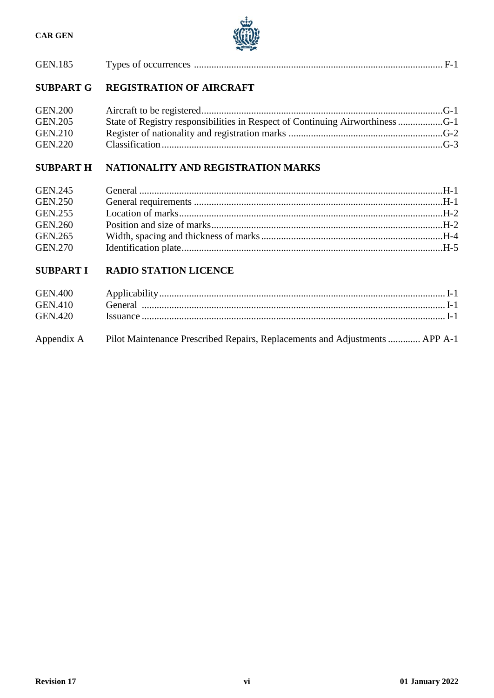# **CAR GEN**



| $\cap$ DN<br>UEN<br>$\alpha$ | vnes of<br>T occurrences |  |  |  |
|------------------------------|--------------------------|--|--|--|
|------------------------------|--------------------------|--|--|--|

# **SUBPART G [REGISTRATION OF AIRCRAFT](#page-24-0)**

| <b>GEN.200</b> |  |
|----------------|--|
| GEN.205        |  |
| GEN.210        |  |
| GEN.220        |  |

# **SUBPART H [NATIONALITY AND REGISTRATION MARKS](#page-28-0)**

| <b>GEN.245</b> |  |
|----------------|--|
| <b>GEN.250</b> |  |
| GEN.255        |  |
| GEN.260        |  |
| GEN.265        |  |
| <b>GEN.270</b> |  |

# **SUBPART I [RADIO STATION LICENCE](#page-34-0)**

| <b>GEN.400</b> |                                                                                        |  |
|----------------|----------------------------------------------------------------------------------------|--|
| GEN.410        |                                                                                        |  |
| GEN.420        |                                                                                        |  |
|                |                                                                                        |  |
|                | Appendix A Pilot Maintenance Prescribed Repairs, Replacements and Adjustments  APP A-1 |  |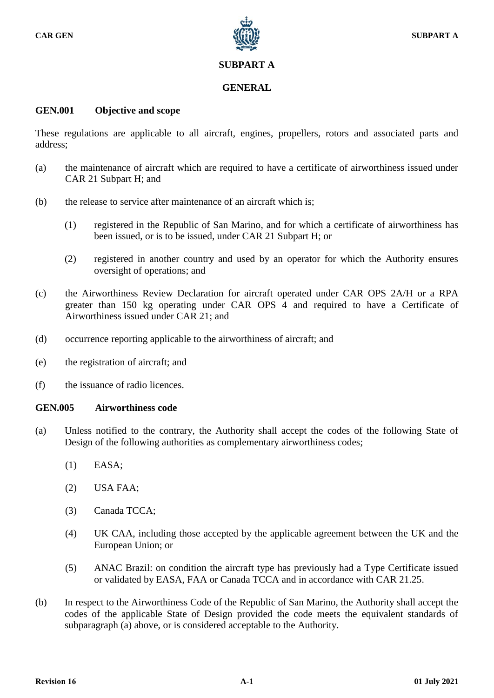

#### **SUBPART A**

# **GENERAL**

#### <span id="page-8-1"></span><span id="page-8-0"></span>**GEN.001 Objective and scope**

These regulations are applicable to all aircraft, engines, propellers, rotors and associated parts and address;

- (a) the maintenance of aircraft which are required to have a certificate of airworthiness issued under CAR 21 Subpart H; and
- (b) the release to service after maintenance of an aircraft which is;
	- (1) registered in the Republic of San Marino, and for which a certificate of airworthiness has been issued, or is to be issued, under CAR 21 Subpart H; or
	- (2) registered in another country and used by an operator for which the Authority ensures oversight of operations; and
- (c) the Airworthiness Review Declaration for aircraft operated under CAR OPS 2A/H or a RPA greater than 150 kg operating under CAR OPS 4 and required to have a Certificate of Airworthiness issued under CAR 21; and
- (d) occurrence reporting applicable to the airworthiness of aircraft; and
- (e) the registration of aircraft; and
- (f) the issuance of radio licences.

#### <span id="page-8-2"></span>**GEN.005 Airworthiness code**

- (a) Unless notified to the contrary, the Authority shall accept the codes of the following State of Design of the following authorities as complementary airworthiness codes;
	- (1) EASA;
	- (2) USA FAA;
	- (3) Canada TCCA;
	- (4) UK CAA, including those accepted by the applicable agreement between the UK and the European Union; or
	- (5) ANAC Brazil: on condition the aircraft type has previously had a Type Certificate issued or validated by EASA, FAA or Canada TCCA and in accordance with CAR 21.25.
- <span id="page-8-3"></span>(b) In respect to the Airworthiness Code of the Republic of San Marino, the Authority shall accept the codes of the applicable State of Design provided the code meets the equivalent standards of subparagraph (a) above, or is considered acceptable to the Authority.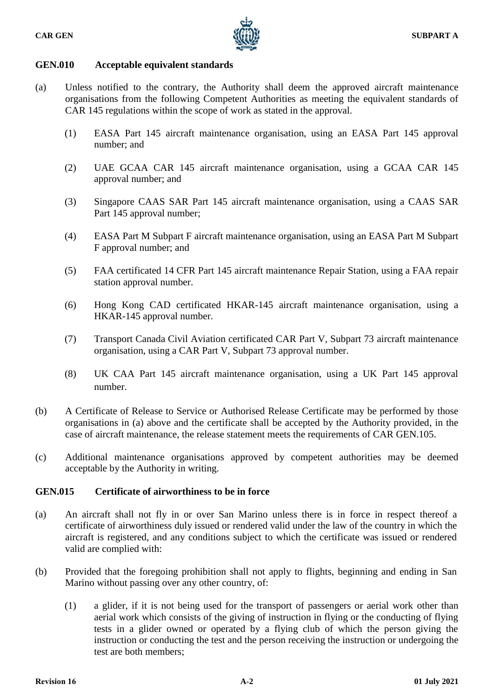# **GEN.010 Acceptable equivalent standards**

- (a) Unless notified to the contrary, the Authority shall deem the approved aircraft maintenance organisations from the following Competent Authorities as meeting the equivalent standards of CAR 145 regulations within the scope of work as stated in the approval.
	- (1) EASA Part 145 aircraft maintenance organisation, using an EASA Part 145 approval number; and
	- (2) UAE GCAA CAR 145 aircraft maintenance organisation, using a GCAA CAR 145 approval number; and
	- (3) Singapore CAAS SAR Part 145 aircraft maintenance organisation, using a CAAS SAR Part 145 approval number;
	- (4) EASA Part M Subpart F aircraft maintenance organisation, using an EASA Part M Subpart F approval number; and
	- (5) FAA certificated 14 CFR Part 145 aircraft maintenance Repair Station, using a FAA repair station approval number.
	- (6) Hong Kong CAD certificated HKAR-145 aircraft maintenance organisation, using a HKAR-145 approval number.
	- (7) Transport Canada Civil Aviation certificated CAR Part V, Subpart 73 aircraft maintenance organisation, using a CAR Part V, Subpart 73 approval number.
	- (8) UK CAA Part 145 aircraft maintenance organisation, using a UK Part 145 approval number.
- (b) A Certificate of Release to Service or Authorised Release Certificate may be performed by those organisations in (a) above and the certificate shall be accepted by the Authority provided, in the case of aircraft maintenance, the release statement meets the requirements of CAR GEN.105.
- (c) Additional maintenance organisations approved by competent authorities may be deemed acceptable by the Authority in writing.

# <span id="page-9-0"></span>**GEN.015 Certificate of airworthiness to be in force**

- (a) An aircraft shall not fly in or over San Marino unless there is in force in respect thereof a certificate of airworthiness duly issued or rendered valid under the law of the country in which the aircraft is registered, and any conditions subject to which the certificate was issued or rendered valid are complied with:
- (b) Provided that the foregoing prohibition shall not apply to flights, beginning and ending in San Marino without passing over any other country, of:
	- (1) a glider, if it is not being used for the transport of passengers or aerial work other than aerial work which consists of the giving of instruction in flying or the conducting of flying tests in a glider owned or operated by a flying club of which the person giving the instruction or conducting the test and the person receiving the instruction or undergoing the test are both members;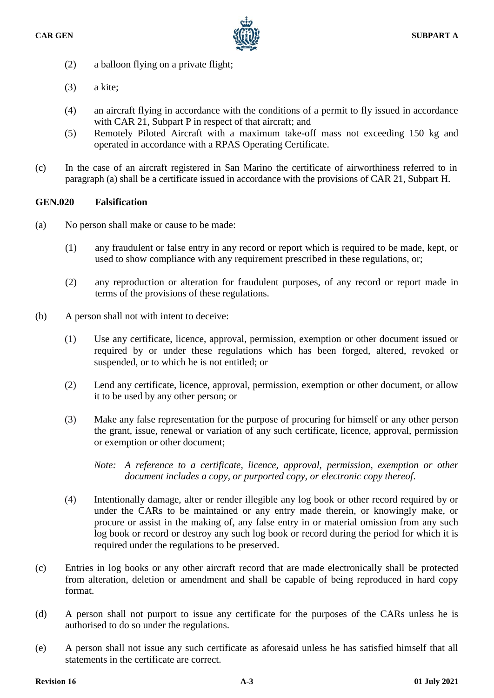- (2) a balloon flying on a private flight;
- (3) a kite;
- (4) an aircraft flying in accordance with the conditions of a permit to fly issued in accordance with CAR 21, Subpart P in respect of that aircraft; and
- (5) Remotely Piloted Aircraft with a maximum take-off mass not exceeding 150 kg and operated in accordance with a RPAS Operating Certificate.
- (c) In the case of an aircraft registered in San Marino the certificate of airworthiness referred to in paragraph (a) shall be a certificate issued in accordance with the provisions of CAR 21, Subpart H.

# <span id="page-10-0"></span>**GEN.020 Falsification**

- (a) No person shall make or cause to be made:
	- (1) any fraudulent or false entry in any record or report which is required to be made, kept, or used to show compliance with any requirement prescribed in these regulations, or;
	- (2) any reproduction or alteration for fraudulent purposes, of any record or report made in terms of the provisions of these regulations.
- (b) A person shall not with intent to deceive:
	- (1) Use any certificate, licence, approval, permission, exemption or other document issued or required by or under these regulations which has been forged, altered, revoked or suspended, or to which he is not entitled; or
	- (2) Lend any certificate, licence, approval, permission, exemption or other document, or allow it to be used by any other person; or
	- (3) Make any false representation for the purpose of procuring for himself or any other person the grant, issue, renewal or variation of any such certificate, licence, approval, permission or exemption or other document;

*Note: A reference to a certificate, licence, approval, permission, exemption or other document includes a copy, or purported copy, or electronic copy thereof*.

- (4) Intentionally damage, alter or render illegible any log book or other record required by or under the CARs to be maintained or any entry made therein, or knowingly make, or procure or assist in the making of, any false entry in or material omission from any such log book or record or destroy any such log book or record during the period for which it is required under the regulations to be preserved.
- (c) Entries in log books or any other aircraft record that are made electronically shall be protected from alteration, deletion or amendment and shall be capable of being reproduced in hard copy format.
- (d) A person shall not purport to issue any certificate for the purposes of the CARs unless he is authorised to do so under the regulations.
- (e) A person shall not issue any such certificate as aforesaid unless he has satisfied himself that all statements in the certificate are correct.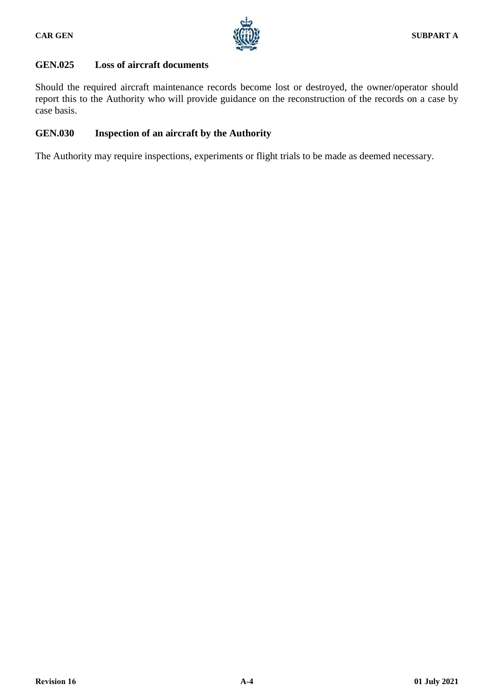

# <span id="page-11-0"></span>**GEN.025 Loss of aircraft documents**

Should the required aircraft maintenance records become lost or destroyed, the owner/operator should report this to the Authority who will provide guidance on the reconstruction of the records on a case by case basis.

# <span id="page-11-1"></span>**GEN.030 Inspection of an aircraft by the Authority**

The Authority may require inspections, experiments or flight trials to be made as deemed necessary.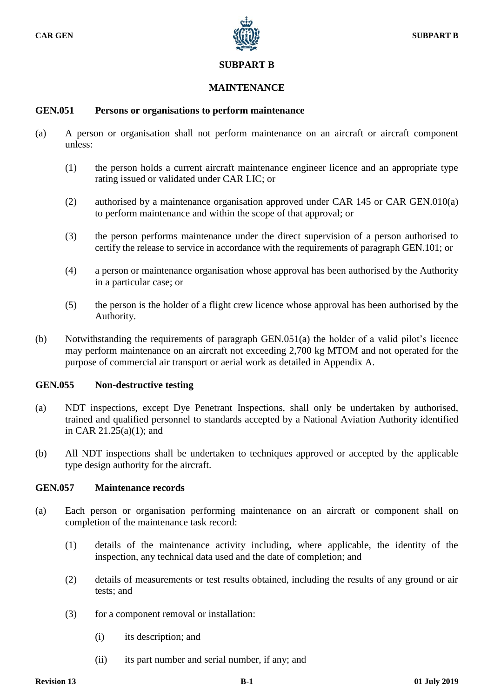

#### **SUBPART B**

#### **MAINTENANCE**

#### <span id="page-12-1"></span><span id="page-12-0"></span>**GEN.051 Persons or organisations to perform maintenance**

- (a) A person or organisation shall not perform maintenance on an aircraft or aircraft component unless:
	- (1) the person holds a current aircraft maintenance engineer licence and an appropriate type rating issued or validated under CAR LIC; or
	- (2) authorised by a maintenance organisation approved under CAR 145 or CAR GEN.010(a) to perform maintenance and within the scope of that approval; or
	- (3) the person performs maintenance under the direct supervision of a person authorised to certify the release to service in accordance with the requirements of paragraph GEN.101; or
	- (4) a person or maintenance organisation whose approval has been authorised by the Authority in a particular case; or
	- (5) the person is the holder of a flight crew licence whose approval has been authorised by the Authority.
- (b) Notwithstanding the requirements of paragraph GEN.051(a) the holder of a valid pilot's licence may perform maintenance on an aircraft not exceeding 2,700 kg MTOM and not operated for the purpose of commercial air transport or aerial work as detailed in Appendix A.

#### <span id="page-12-2"></span>**GEN.055 Non-destructive testing**

- (a) NDT inspections, except Dye Penetrant Inspections, shall only be undertaken by authorised, trained and qualified personnel to standards accepted by a National Aviation Authority identified in CAR 21.25(a)(1); and
- (b) All NDT inspections shall be undertaken to techniques approved or accepted by the applicable type design authority for the aircraft.

# <span id="page-12-3"></span>**GEN.057 Maintenance records**

- (a) Each person or organisation performing maintenance on an aircraft or component shall on completion of the maintenance task record:
	- (1) details of the maintenance activity including, where applicable, the identity of the inspection, any technical data used and the date of completion; and
	- (2) details of measurements or test results obtained, including the results of any ground or air tests; and
	- (3) for a component removal or installation:
		- (i) its description; and
		- (ii) its part number and serial number, if any; and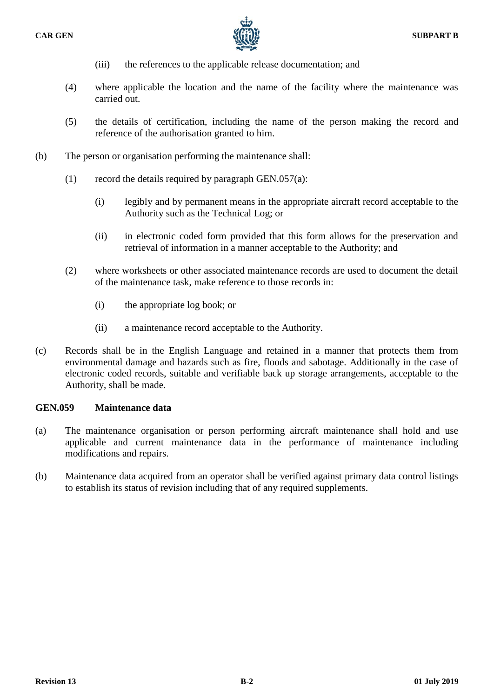

- (iii) the references to the applicable release documentation; and
- (4) where applicable the location and the name of the facility where the maintenance was carried out.
- (5) the details of certification, including the name of the person making the record and reference of the authorisation granted to him.
- (b) The person or organisation performing the maintenance shall:
	- (1) record the details required by paragraph GEN.057(a):
		- (i) legibly and by permanent means in the appropriate aircraft record acceptable to the Authority such as the Technical Log; or
		- (ii) in electronic coded form provided that this form allows for the preservation and retrieval of information in a manner acceptable to the Authority; and
	- (2) where worksheets or other associated maintenance records are used to document the detail of the maintenance task, make reference to those records in:
		- (i) the appropriate log book; or
		- (ii) a maintenance record acceptable to the Authority.
- (c) Records shall be in the English Language and retained in a manner that protects them from environmental damage and hazards such as fire, floods and sabotage. Additionally in the case of electronic coded records, suitable and verifiable back up storage arrangements, acceptable to the Authority, shall be made.

# <span id="page-13-0"></span>**GEN.059 Maintenance data**

- (a) The maintenance organisation or person performing aircraft maintenance shall hold and use applicable and current maintenance data in the performance of maintenance including modifications and repairs.
- (b) Maintenance data acquired from an operator shall be verified against primary data control listings to establish its status of revision including that of any required supplements.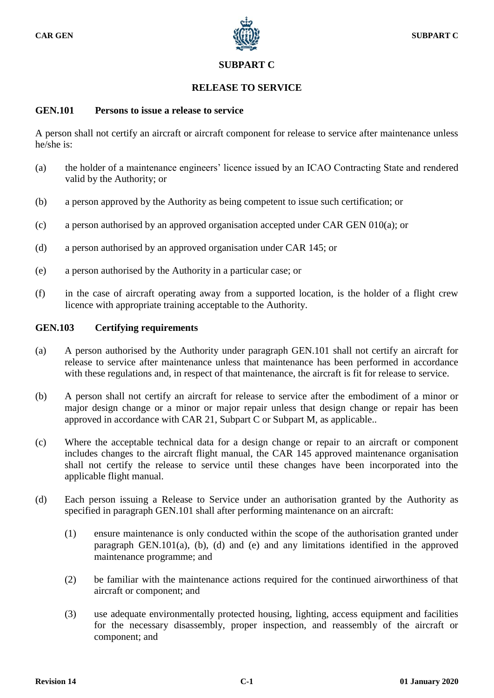

# **SUBPART C**

# **RELEASE TO SERVICE**

#### <span id="page-14-1"></span><span id="page-14-0"></span>**GEN.101 Persons to issue a release to service**

A person shall not certify an aircraft or aircraft component for release to service after maintenance unless he/she is:

- (a) the holder of a maintenance engineers' licence issued by an ICAO Contracting State and rendered valid by the Authority; or
- (b) a person approved by the Authority as being competent to issue such certification; or
- (c) a person authorised by an approved organisation accepted under CAR GEN 010(a); or
- (d) a person authorised by an approved organisation under CAR 145; or
- (e) a person authorised by the Authority in a particular case; or
- (f) in the case of aircraft operating away from a supported location, is the holder of a flight crew licence with appropriate training acceptable to the Authority.

# <span id="page-14-2"></span>**GEN.103 Certifying requirements**

- (a) A person authorised by the Authority under paragraph GEN.101 shall not certify an aircraft for release to service after maintenance unless that maintenance has been performed in accordance with these regulations and, in respect of that maintenance, the aircraft is fit for release to service.
- (b) A person shall not certify an aircraft for release to service after the embodiment of a minor or major design change or a minor or major repair unless that design change or repair has been approved in accordance with CAR 21, Subpart C or Subpart M, as applicable..
- (c) Where the acceptable technical data for a design change or repair to an aircraft or component includes changes to the aircraft flight manual, the CAR 145 approved maintenance organisation shall not certify the release to service until these changes have been incorporated into the applicable flight manual.
- (d) Each person issuing a Release to Service under an authorisation granted by the Authority as specified in paragraph GEN.101 shall after performing maintenance on an aircraft:
	- (1) ensure maintenance is only conducted within the scope of the authorisation granted under paragraph GEN.101(a), (b), (d) and (e) and any limitations identified in the approved maintenance programme; and
	- (2) be familiar with the maintenance actions required for the continued airworthiness of that aircraft or component; and
	- (3) use adequate environmentally protected housing, lighting, access equipment and facilities for the necessary disassembly, proper inspection, and reassembly of the aircraft or component; and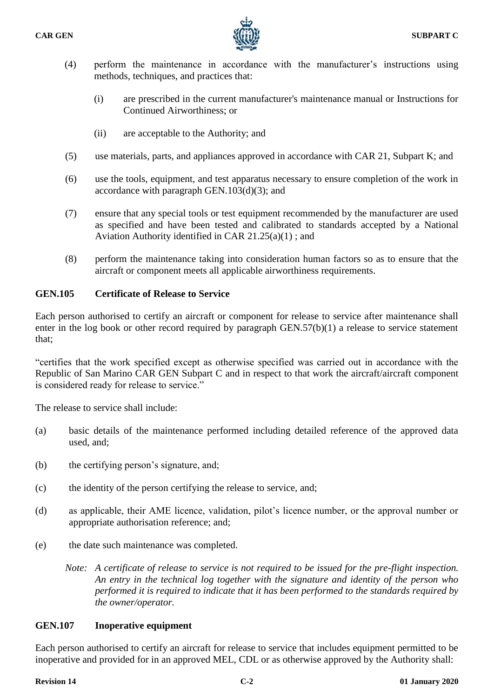- (4) perform the maintenance in accordance with the manufacturer's instructions using methods, techniques, and practices that:
	- (i) are prescribed in the current manufacturer's maintenance manual or Instructions for Continued Airworthiness; or
	- (ii) are acceptable to the Authority; and
- (5) use materials, parts, and appliances approved in accordance with CAR 21, Subpart K; and
- (6) use the tools, equipment, and test apparatus necessary to ensure completion of the work in accordance with paragraph GEN.103(d)(3); and
- (7) ensure that any special tools or test equipment recommended by the manufacturer are used as specified and have been tested and calibrated to standards accepted by a National Aviation Authority identified in CAR 21.25(a)(1) ; and
- (8) perform the maintenance taking into consideration human factors so as to ensure that the aircraft or component meets all applicable airworthiness requirements.

# <span id="page-15-0"></span>**GEN.105 Certificate of Release to Service**

Each person authorised to certify an aircraft or component for release to service after maintenance shall enter in the log book or other record required by paragraph GEN.57(b)(1) a release to service statement that;

"certifies that the work specified except as otherwise specified was carried out in accordance with the Republic of San Marino CAR GEN Subpart C and in respect to that work the aircraft/aircraft component is considered ready for release to service."

The release to service shall include:

- (a) basic details of the maintenance performed including detailed reference of the approved data used, and;
- (b) the certifying person's signature, and;
- (c) the identity of the person certifying the release to service, and;
- (d) as applicable, their AME licence, validation, pilot's licence number, or the approval number or appropriate authorisation reference; and;
- (e) the date such maintenance was completed.
	- *Note: A certificate of release to service is not required to be issued for the pre-flight inspection. An entry in the technical log together with the signature and identity of the person who performed it is required to indicate that it has been performed to the standards required by the owner/operator.*

# <span id="page-15-1"></span>**GEN.107 Inoperative equipment**

Each person authorised to certify an aircraft for release to service that includes equipment permitted to be inoperative and provided for in an approved MEL, CDL or as otherwise approved by the Authority shall: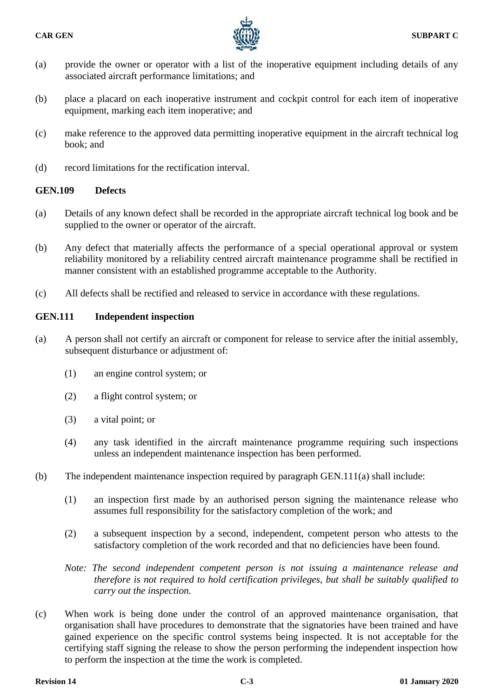- (a) provide the owner or operator with a list of the inoperative equipment including details of any associated aircraft performance limitations; and
- (b) place a placard on each inoperative instrument and cockpit control for each item of inoperative equipment, marking each item inoperative; and
- (c) make reference to the approved data permitting inoperative equipment in the aircraft technical log book; and
- (d) record limitations for the rectification interval.

# <span id="page-16-0"></span>**GEN.109 Defects**

- (a) Details of any known defect shall be recorded in the appropriate aircraft technical log book and be supplied to the owner or operator of the aircraft.
- (b) Any defect that materially affects the performance of a special operational approval or system reliability monitored by a reliability centred aircraft maintenance programme shall be rectified in manner consistent with an established programme acceptable to the Authority.
- (c) All defects shall be rectified and released to service in accordance with these regulations.

# <span id="page-16-1"></span>**GEN.111 Independent inspection**

- (a) A person shall not certify an aircraft or component for release to service after the initial assembly, subsequent disturbance or adjustment of:
	- (1) an engine control system; or
	- (2) a flight control system; or
	- (3) a vital point; or
	- (4) any task identified in the aircraft maintenance programme requiring such inspections unless an independent maintenance inspection has been performed.
- (b) The independent maintenance inspection required by paragraph  $GEN.111(a)$  shall include:
	- (1) an inspection first made by an authorised person signing the maintenance release who assumes full responsibility for the satisfactory completion of the work; and
	- (2) a subsequent inspection by a second, independent, competent person who attests to the satisfactory completion of the work recorded and that no deficiencies have been found.
	- *Note: The second independent competent person is not issuing a maintenance release and therefore is not required to hold certification privileges, but shall be suitably qualified to carry out the inspection.*
- (c) When work is being done under the control of an approved maintenance organisation, that organisation shall have procedures to demonstrate that the signatories have been trained and have gained experience on the specific control systems being inspected. It is not acceptable for the certifying staff signing the release to show the person performing the independent inspection how to perform the inspection at the time the work is completed.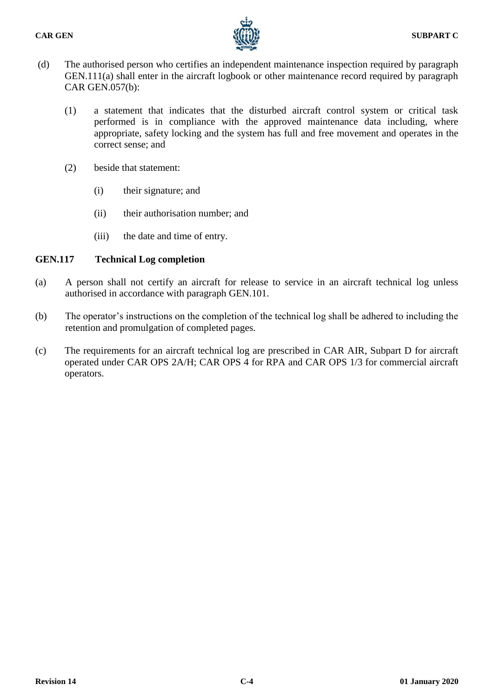

- (d) The authorised person who certifies an independent maintenance inspection required by paragraph GEN.111(a) shall enter in the aircraft logbook or other maintenance record required by paragraph CAR GEN.057(b):
	- (1) a statement that indicates that the disturbed aircraft control system or critical task performed is in compliance with the approved maintenance data including, where appropriate, safety locking and the system has full and free movement and operates in the correct sense; and
	- (2) beside that statement:
		- (i) their signature; and
		- (ii) their authorisation number; and
		- (iii) the date and time of entry.

# <span id="page-17-0"></span>**GEN.117 Technical Log completion**

- (a) A person shall not certify an aircraft for release to service in an aircraft technical log unless authorised in accordance with paragraph GEN.101.
- (b) The operator's instructions on the completion of the technical log shall be adhered to including the retention and promulgation of completed pages.
- (c) The requirements for an aircraft technical log are prescribed in CAR AIR, Subpart D for aircraft operated under CAR OPS 2A/H; CAR OPS 4 for RPA and CAR OPS 1/3 for commercial aircraft operators.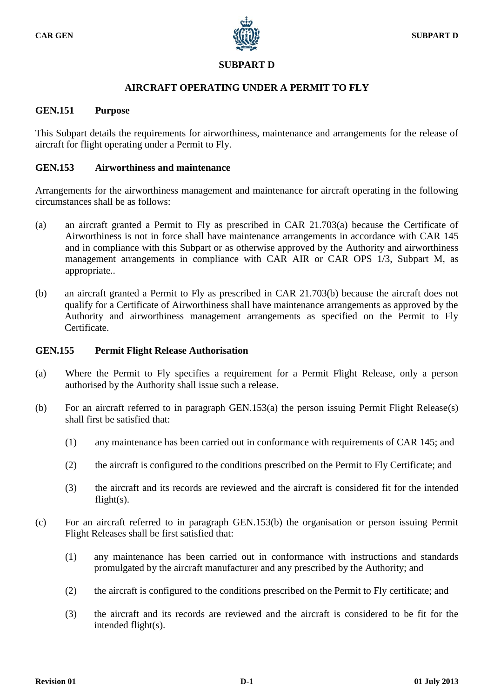

#### **SUBPART D**

# **AIRCRAFT OPERATING UNDER A PERMIT TO FLY**

#### <span id="page-18-1"></span><span id="page-18-0"></span>**GEN.151 Purpose**

This Subpart details the requirements for airworthiness, maintenance and arrangements for the release of aircraft for flight operating under a Permit to Fly.

#### <span id="page-18-2"></span>**GEN.153 Airworthiness and maintenance**

Arrangements for the airworthiness management and maintenance for aircraft operating in the following circumstances shall be as follows:

- (a) an aircraft granted a Permit to Fly as prescribed in CAR 21.703(a) because the Certificate of Airworthiness is not in force shall have maintenance arrangements in accordance with CAR 145 and in compliance with this Subpart or as otherwise approved by the Authority and airworthiness management arrangements in compliance with CAR AIR or CAR OPS 1/3, Subpart M, as appropriate..
- (b) an aircraft granted a Permit to Fly as prescribed in CAR 21.703(b) because the aircraft does not qualify for a Certificate of Airworthiness shall have maintenance arrangements as approved by the Authority and airworthiness management arrangements as specified on the Permit to Fly Certificate.

# <span id="page-18-3"></span>**GEN.155 Permit Flight Release Authorisation**

- (a) Where the Permit to Fly specifies a requirement for a Permit Flight Release, only a person authorised by the Authority shall issue such a release.
- (b) For an aircraft referred to in paragraph GEN.153(a) the person issuing Permit Flight Release(s) shall first be satisfied that:
	- (1) any maintenance has been carried out in conformance with requirements of CAR 145; and
	- (2) the aircraft is configured to the conditions prescribed on the Permit to Fly Certificate; and
	- (3) the aircraft and its records are reviewed and the aircraft is considered fit for the intended  $flight(s)$ .
- (c) For an aircraft referred to in paragraph GEN.153(b) the organisation or person issuing Permit Flight Releases shall be first satisfied that:
	- (1) any maintenance has been carried out in conformance with instructions and standards promulgated by the aircraft manufacturer and any prescribed by the Authority; and
	- (2) the aircraft is configured to the conditions prescribed on the Permit to Fly certificate; and
	- (3) the aircraft and its records are reviewed and the aircraft is considered to be fit for the intended flight(s).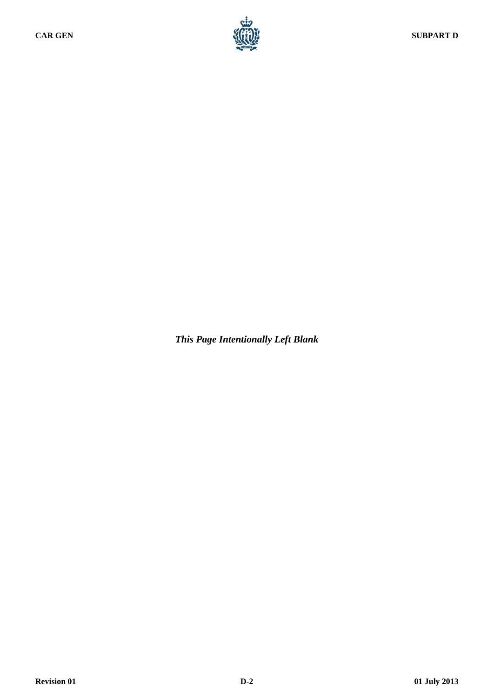

*This Page Intentionally Left Blank*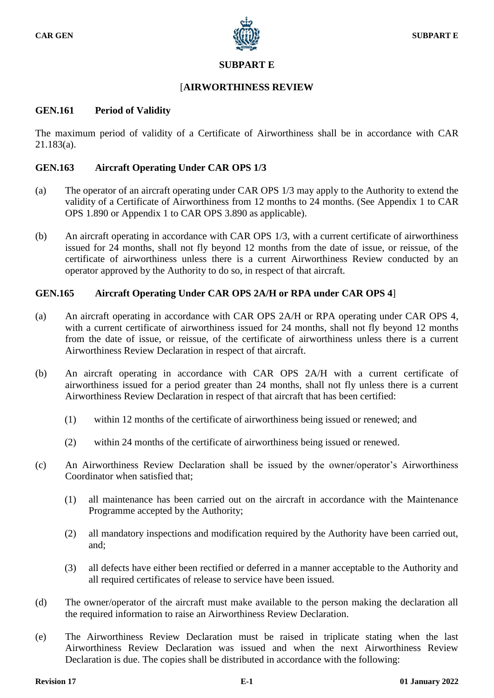

#### **SUBPART E**

# [**AIRWORTHINESS REVIEW**

#### <span id="page-20-1"></span><span id="page-20-0"></span>**GEN.161 Period of Validity**

The maximum period of validity of a Certificate of Airworthiness shall be in accordance with CAR 21.183(a).

# **GEN.163 Aircraft Operating Under CAR OPS 1/3**

- (a) The operator of an aircraft operating under CAR OPS 1/3 may apply to the Authority to extend the validity of a Certificate of Airworthiness from 12 months to 24 months. (See Appendix 1 to CAR OPS 1.890 or Appendix 1 to CAR OPS 3.890 as applicable).
- (b) An aircraft operating in accordance with CAR OPS 1/3, with a current certificate of airworthiness issued for 24 months, shall not fly beyond 12 months from the date of issue, or reissue, of the certificate of airworthiness unless there is a current Airworthiness Review conducted by an operator approved by the Authority to do so, in respect of that aircraft.

#### **GEN.165 Aircraft Operating Under CAR OPS 2A/H or RPA under CAR OPS 4**]

- (a) An aircraft operating in accordance with CAR OPS 2A/H or RPA operating under CAR OPS 4, with a current certificate of airworthiness issued for 24 months, shall not fly beyond 12 months from the date of issue, or reissue, of the certificate of airworthiness unless there is a current Airworthiness Review Declaration in respect of that aircraft.
- (b) An aircraft operating in accordance with CAR OPS 2A/H with a current certificate of airworthiness issued for a period greater than 24 months, shall not fly unless there is a current Airworthiness Review Declaration in respect of that aircraft that has been certified:
	- (1) within 12 months of the certificate of airworthiness being issued or renewed; and
	- (2) within 24 months of the certificate of airworthiness being issued or renewed.
- (c) An Airworthiness Review Declaration shall be issued by the owner/operator's Airworthiness Coordinator when satisfied that;
	- (1) all maintenance has been carried out on the aircraft in accordance with the Maintenance Programme accepted by the Authority;
	- (2) all mandatory inspections and modification required by the Authority have been carried out, and;
	- (3) all defects have either been rectified or deferred in a manner acceptable to the Authority and all required certificates of release to service have been issued.
- (d) The owner/operator of the aircraft must make available to the person making the declaration all the required information to raise an Airworthiness Review Declaration.
- (e) The Airworthiness Review Declaration must be raised in triplicate stating when the last Airworthiness Review Declaration was issued and when the next Airworthiness Review Declaration is due. The copies shall be distributed in accordance with the following: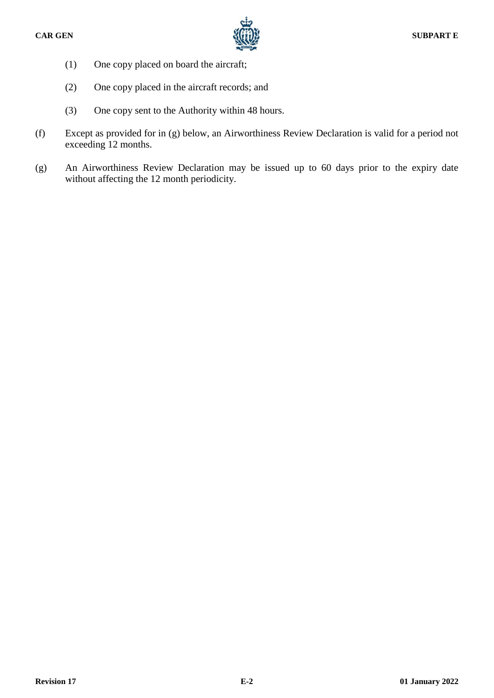

- (1) One copy placed on board the aircraft;
- (2) One copy placed in the aircraft records; and
- (3) One copy sent to the Authority within 48 hours.
- (f) Except as provided for in (g) below, an Airworthiness Review Declaration is valid for a period not exceeding 12 months.
- (g) An Airworthiness Review Declaration may be issued up to 60 days prior to the expiry date without affecting the 12 month periodicity.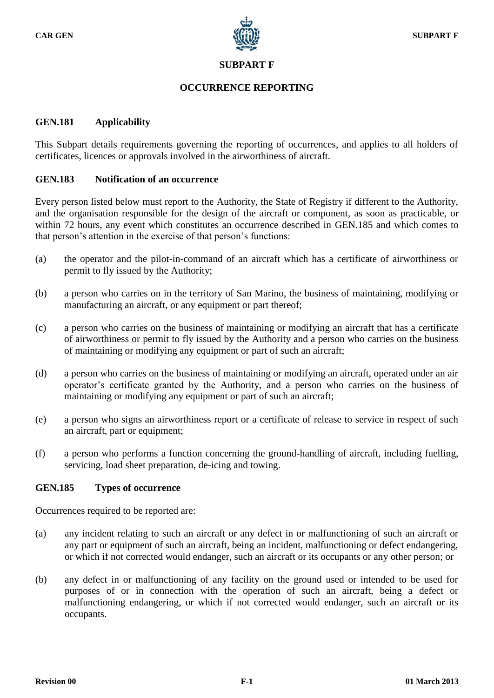

# **SUBPART F**

# **OCCURRENCE REPORTING**

# <span id="page-22-1"></span><span id="page-22-0"></span>**GEN.181 Applicability**

This Subpart details requirements governing the reporting of occurrences, and applies to all holders of certificates, licences or approvals involved in the airworthiness of aircraft.

# <span id="page-22-2"></span>**GEN.183 Notification of an occurrence**

Every person listed below must report to the Authority, the State of Registry if different to the Authority, and the organisation responsible for the design of the aircraft or component, as soon as practicable, or within 72 hours, any event which constitutes an occurrence described in GEN.185 and which comes to that person's attention in the exercise of that person's functions:

- (a) the operator and the pilot-in-command of an aircraft which has a certificate of airworthiness or permit to fly issued by the Authority;
- (b) a person who carries on in the territory of San Marino, the business of maintaining, modifying or manufacturing an aircraft, or any equipment or part thereof;
- (c) a person who carries on the business of maintaining or modifying an aircraft that has a certificate of airworthiness or permit to fly issued by the Authority and a person who carries on the business of maintaining or modifying any equipment or part of such an aircraft;
- (d) a person who carries on the business of maintaining or modifying an aircraft, operated under an air operator's certificate granted by the Authority, and a person who carries on the business of maintaining or modifying any equipment or part of such an aircraft;
- (e) a person who signs an airworthiness report or a certificate of release to service in respect of such an aircraft, part or equipment;
- (f) a person who performs a function concerning the ground-handling of aircraft, including fuelling, servicing, load sheet preparation, de-icing and towing.

# <span id="page-22-3"></span>**GEN.185 Types of occurrence**

Occurrences required to be reported are:

- (a) any incident relating to such an aircraft or any defect in or malfunctioning of such an aircraft or any part or equipment of such an aircraft, being an incident, malfunctioning or defect endangering, or which if not corrected would endanger, such an aircraft or its occupants or any other person; or
- (b) any defect in or malfunctioning of any facility on the ground used or intended to be used for purposes of or in connection with the operation of such an aircraft, being a defect or malfunctioning endangering, or which if not corrected would endanger, such an aircraft or its occupants.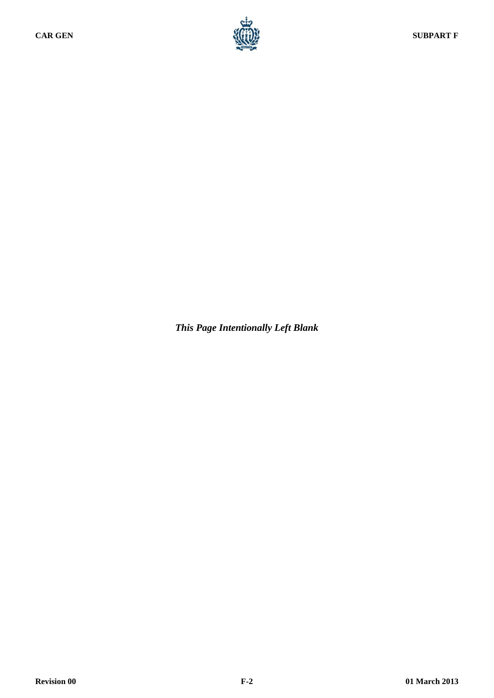

*This Page Intentionally Left Blank*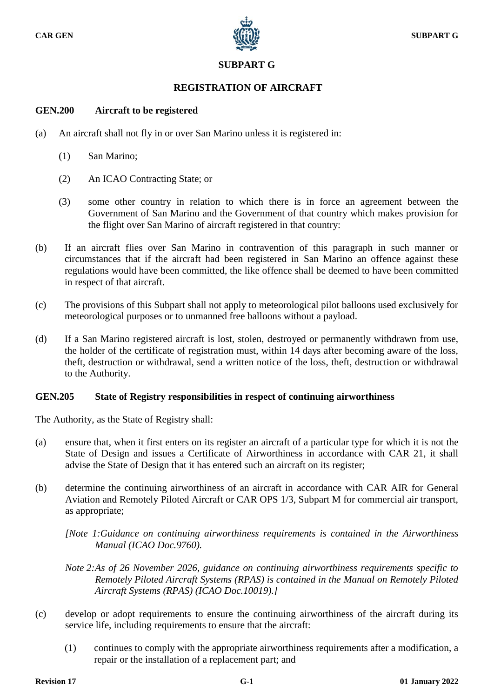

# **SUBPART G**

# **REGISTRATION OF AIRCRAFT**

# <span id="page-24-1"></span><span id="page-24-0"></span>**GEN.200 Aircraft to be registered**

- (a) An aircraft shall not fly in or over San Marino unless it is registered in:
	- (1) San Marino;
	- (2) An ICAO Contracting State; or
	- (3) some other country in relation to which there is in force an agreement between the Government of San Marino and the Government of that country which makes provision for the flight over San Marino of aircraft registered in that country:
- (b) If an aircraft flies over San Marino in contravention of this paragraph in such manner or circumstances that if the aircraft had been registered in San Marino an offence against these regulations would have been committed, the like offence shall be deemed to have been committed in respect of that aircraft.
- (c) The provisions of this Subpart shall not apply to meteorological pilot balloons used exclusively for meteorological purposes or to unmanned free balloons without a payload.
- (d) If a San Marino registered aircraft is lost, stolen, destroyed or permanently withdrawn from use, the holder of the certificate of registration must, within 14 days after becoming aware of the loss, theft, destruction or withdrawal, send a written notice of the loss, theft, destruction or withdrawal to the Authority.

# <span id="page-24-2"></span>**GEN.205 State of Registry responsibilities in respect of continuing airworthiness**

The Authority, as the State of Registry shall:

- (a) ensure that, when it first enters on its register an aircraft of a particular type for which it is not the State of Design and issues a Certificate of Airworthiness in accordance with CAR 21, it shall advise the State of Design that it has entered such an aircraft on its register;
- (b) determine the continuing airworthiness of an aircraft in accordance with CAR AIR for General Aviation and Remotely Piloted Aircraft or CAR OPS 1/3, Subpart M for commercial air transport, as appropriate;

- *Note 2:As of 26 November 2026, guidance on continuing airworthiness requirements specific to Remotely Piloted Aircraft Systems (RPAS) is contained in the Manual on Remotely Piloted Aircraft Systems (RPAS) (ICAO Doc.10019).]*
- (c) develop or adopt requirements to ensure the continuing airworthiness of the aircraft during its service life, including requirements to ensure that the aircraft:
	- (1) continues to comply with the appropriate airworthiness requirements after a modification, a repair or the installation of a replacement part; and

*<sup>[</sup>Note 1:Guidance on continuing airworthiness requirements is contained in the Airworthiness Manual (ICAO Doc.9760).*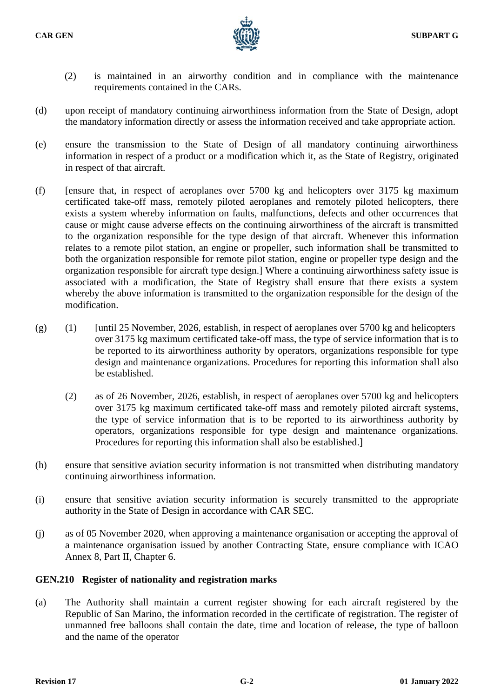- (2) is maintained in an airworthy condition and in compliance with the maintenance requirements contained in the CARs.
- (d) upon receipt of mandatory continuing airworthiness information from the State of Design, adopt the mandatory information directly or assess the information received and take appropriate action.
- (e) ensure the transmission to the State of Design of all mandatory continuing airworthiness information in respect of a product or a modification which it, as the State of Registry, originated in respect of that aircraft.
- (f) [ensure that, in respect of aeroplanes over 5700 kg and helicopters over 3175 kg maximum certificated take-off mass, remotely piloted aeroplanes and remotely piloted helicopters, there exists a system whereby information on faults, malfunctions, defects and other occurrences that cause or might cause adverse effects on the continuing airworthiness of the aircraft is transmitted to the organization responsible for the type design of that aircraft. Whenever this information relates to a remote pilot station, an engine or propeller, such information shall be transmitted to both the organization responsible for remote pilot station, engine or propeller type design and the organization responsible for aircraft type design.] Where a continuing airworthiness safety issue is associated with a modification, the State of Registry shall ensure that there exists a system whereby the above information is transmitted to the organization responsible for the design of the modification.
- (g) (1) [until 25 November, 2026, establish, in respect of aeroplanes over 5700 kg and helicopters over 3175 kg maximum certificated take-off mass, the type of service information that is to be reported to its airworthiness authority by operators, organizations responsible for type design and maintenance organizations. Procedures for reporting this information shall also be established.
	- (2) as of 26 November, 2026, establish, in respect of aeroplanes over 5700 kg and helicopters over 3175 kg maximum certificated take-off mass and remotely piloted aircraft systems, the type of service information that is to be reported to its airworthiness authority by operators, organizations responsible for type design and maintenance organizations. Procedures for reporting this information shall also be established.]
- (h) ensure that sensitive aviation security information is not transmitted when distributing mandatory continuing airworthiness information.
- (i) ensure that sensitive aviation security information is securely transmitted to the appropriate authority in the State of Design in accordance with CAR SEC.
- (j) as of 05 November 2020, when approving a maintenance organisation or accepting the approval of a maintenance organisation issued by another Contracting State, ensure compliance with ICAO Annex 8, Part II, Chapter 6.

# <span id="page-25-0"></span>**GEN.210 Register of nationality and registration marks**

(a) The Authority shall maintain a current register showing for each aircraft registered by the Republic of San Marino, the information recorded in the certificate of registration. The register of unmanned free balloons shall contain the date, time and location of release, the type of balloon and the name of the operator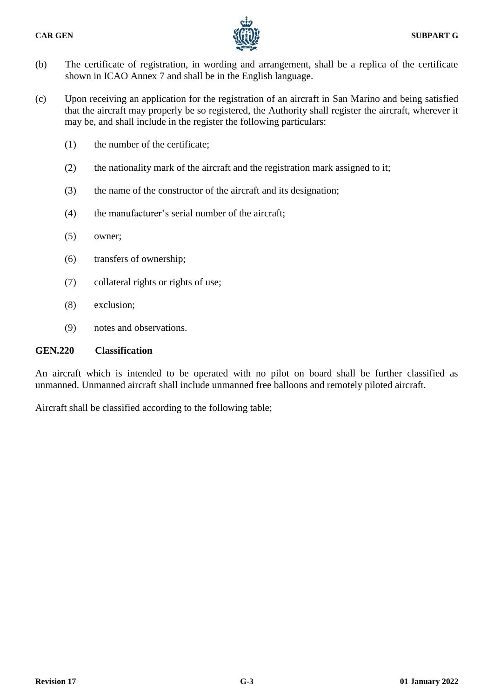

- (b) The certificate of registration, in wording and arrangement, shall be a replica of the certificate shown in ICAO Annex 7 and shall be in the English language.
- (c) Upon receiving an application for the registration of an aircraft in San Marino and being satisfied that the aircraft may properly be so registered, the Authority shall register the aircraft, wherever it may be, and shall include in the register the following particulars:
	- (1) the number of the certificate;
	- (2) the nationality mark of the aircraft and the registration mark assigned to it;
	- (3) the name of the constructor of the aircraft and its designation;
	- (4) the manufacturer's serial number of the aircraft;
	- (5) owner;
	- (6) transfers of ownership;
	- (7) collateral rights or rights of use;
	- (8) exclusion;
	- (9) notes and observations.

# <span id="page-26-0"></span>**GEN.220 Classification**

An aircraft which is intended to be operated with no pilot on board shall be further classified as unmanned. Unmanned aircraft shall include unmanned free balloons and remotely piloted aircraft.

Aircraft shall be classified according to the following table;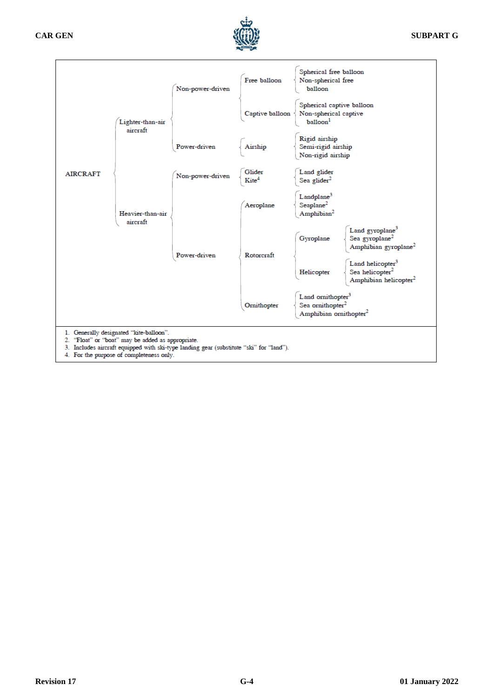

|                 |                                                                                                                                                            | Non-power-driven                                                                        | Free balloon                | Spherical free balloon<br>Non-spherical free<br>balloon                                                        |
|-----------------|------------------------------------------------------------------------------------------------------------------------------------------------------------|-----------------------------------------------------------------------------------------|-----------------------------|----------------------------------------------------------------------------------------------------------------|
|                 | Lighter-than-air<br>aircraft                                                                                                                               |                                                                                         | Captive balloon             | Spherical captive balloon<br>Non-spherical captive<br>balloon <sup>1</sup>                                     |
|                 |                                                                                                                                                            | Power-driven                                                                            | Airship                     | Rigid airship<br>Semi-rigid airship<br>Non-rigid airship                                                       |
| <b>AIRCRAFT</b> |                                                                                                                                                            | Non-power-driven                                                                        | Glider<br>Kite <sup>4</sup> | Land glider<br>Sea glider <sup>2</sup>                                                                         |
|                 | Heavier-than-air<br>aircraft                                                                                                                               |                                                                                         | Aeroplane                   | Landplane <sup>3</sup><br>Seaplane <sup>2</sup><br>Amphibian <sup>2</sup>                                      |
|                 |                                                                                                                                                            | Power-driven                                                                            | Rotorcraft                  | Land gyroplane <sup>3</sup><br>Sea gyroplane $^2$<br>Gyroplane<br>Amphibian gyroplane <sup>2</sup>             |
|                 |                                                                                                                                                            |                                                                                         |                             | Land helicopter <sup>3</sup><br>Sea helicopter <sup>2</sup><br>Helicopter<br>Amphibian helicopter <sup>2</sup> |
|                 |                                                                                                                                                            |                                                                                         | Ornithopter                 | Land omithopter <sup>3</sup><br>Sea ornithopter <sup>2</sup><br>Amphibian ornithopter <sup>2</sup>             |
|                 | 1. Generally designated "kite-balloon".<br>2. "Float" or "boat" may be added as appropriate.<br>$4$ . For the mirriose of completeness only $\overline{a}$ | 3. Includes aircraft equipped with ski-type landing gear (substitute "ski" for "land"). |                             |                                                                                                                |

4. For the purpose of completeness only.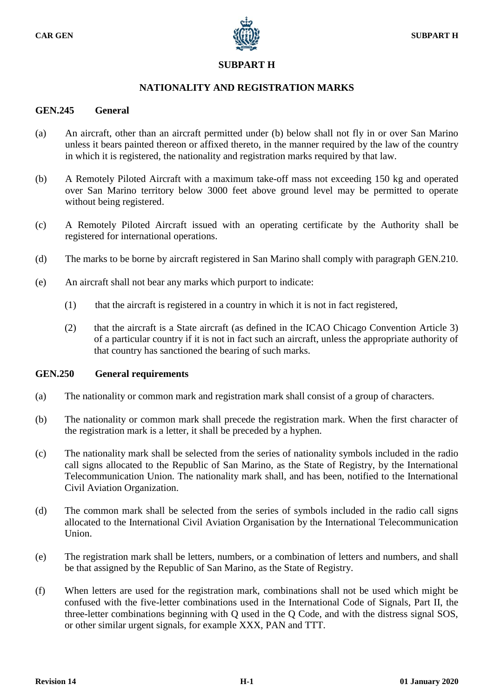

#### **SUBPART H**

# **NATIONALITY AND REGISTRATION MARKS**

#### <span id="page-28-1"></span><span id="page-28-0"></span>**GEN.245 General**

- (a) An aircraft, other than an aircraft permitted under (b) below shall not fly in or over San Marino unless it bears painted thereon or affixed thereto, in the manner required by the law of the country in which it is registered, the nationality and registration marks required by that law.
- (b) A Remotely Piloted Aircraft with a maximum take-off mass not exceeding 150 kg and operated over San Marino territory below 3000 feet above ground level may be permitted to operate without being registered.
- (c) A Remotely Piloted Aircraft issued with an operating certificate by the Authority shall be registered for international operations.
- (d) The marks to be borne by aircraft registered in San Marino shall comply with paragraph GEN.210.
- (e) An aircraft shall not bear any marks which purport to indicate:
	- (1) that the aircraft is registered in a country in which it is not in fact registered,
	- (2) that the aircraft is a State aircraft (as defined in the ICAO Chicago Convention Article 3) of a particular country if it is not in fact such an aircraft, unless the appropriate authority of that country has sanctioned the bearing of such marks.

#### <span id="page-28-2"></span>**GEN.250 General requirements**

- (a) The nationality or common mark and registration mark shall consist of a group of characters.
- (b) The nationality or common mark shall precede the registration mark. When the first character of the registration mark is a letter, it shall be preceded by a hyphen.
- (c) The nationality mark shall be selected from the series of nationality symbols included in the radio call signs allocated to the Republic of San Marino, as the State of Registry, by the International Telecommunication Union. The nationality mark shall, and has been, notified to the International Civil Aviation Organization.
- (d) The common mark shall be selected from the series of symbols included in the radio call signs allocated to the International Civil Aviation Organisation by the International Telecommunication Union.
- (e) The registration mark shall be letters, numbers, or a combination of letters and numbers, and shall be that assigned by the Republic of San Marino, as the State of Registry.
- <span id="page-28-3"></span>(f) When letters are used for the registration mark, combinations shall not be used which might be confused with the five-letter combinations used in the International Code of Signals, Part II, the three-letter combinations beginning with Q used in the Q Code, and with the distress signal SOS, or other similar urgent signals, for example XXX, PAN and TTT.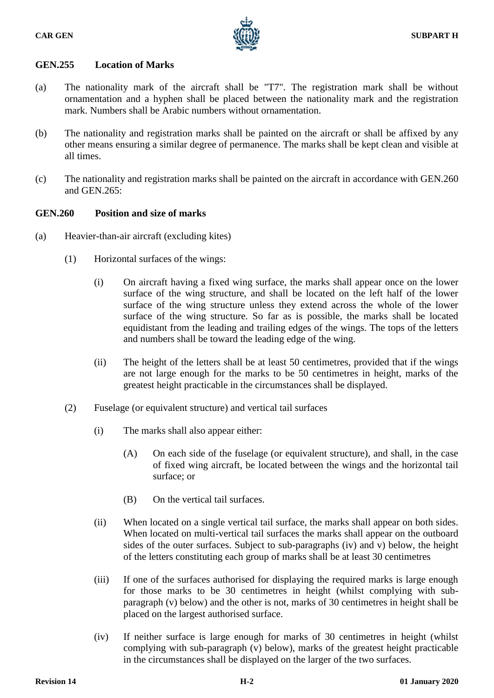# **GEN.255 Location of Marks**

- (a) The nationality mark of the aircraft shall be "T7". The registration mark shall be without ornamentation and a hyphen shall be placed between the nationality mark and the registration mark. Numbers shall be Arabic numbers without ornamentation.
- (b) The nationality and registration marks shall be painted on the aircraft or shall be affixed by any other means ensuring a similar degree of permanence. The marks shall be kept clean and visible at all times.
- (c) The nationality and registration marks shall be painted on the aircraft in accordance with GEN.260 and GEN.265:

# <span id="page-29-0"></span>**GEN.260 Position and size of marks**

- (a) Heavier-than-air aircraft (excluding kites)
	- (1) Horizontal surfaces of the wings:
		- (i) On aircraft having a fixed wing surface, the marks shall appear once on the lower surface of the wing structure, and shall be located on the left half of the lower surface of the wing structure unless they extend across the whole of the lower surface of the wing structure. So far as is possible, the marks shall be located equidistant from the leading and trailing edges of the wings. The tops of the letters and numbers shall be toward the leading edge of the wing.
		- (ii) The height of the letters shall be at least 50 centimetres, provided that if the wings are not large enough for the marks to be 50 centimetres in height, marks of the greatest height practicable in the circumstances shall be displayed.
	- (2) Fuselage (or equivalent structure) and vertical tail surfaces
		- (i) The marks shall also appear either:
			- (A) On each side of the fuselage (or equivalent structure), and shall, in the case of fixed wing aircraft, be located between the wings and the horizontal tail surface; or
			- (B) On the vertical tail surfaces.
		- (ii) When located on a single vertical tail surface, the marks shall appear on both sides. When located on multi-vertical tail surfaces the marks shall appear on the outboard sides of the outer surfaces. Subject to sub-paragraphs (iv) and v) below, the height of the letters constituting each group of marks shall be at least 30 centimetres
		- (iii) If one of the surfaces authorised for displaying the required marks is large enough for those marks to be 30 centimetres in height (whilst complying with subparagraph (v) below) and the other is not, marks of 30 centimetres in height shall be placed on the largest authorised surface.
		- (iv) If neither surface is large enough for marks of 30 centimetres in height (whilst complying with sub-paragraph (v) below), marks of the greatest height practicable in the circumstances shall be displayed on the larger of the two surfaces.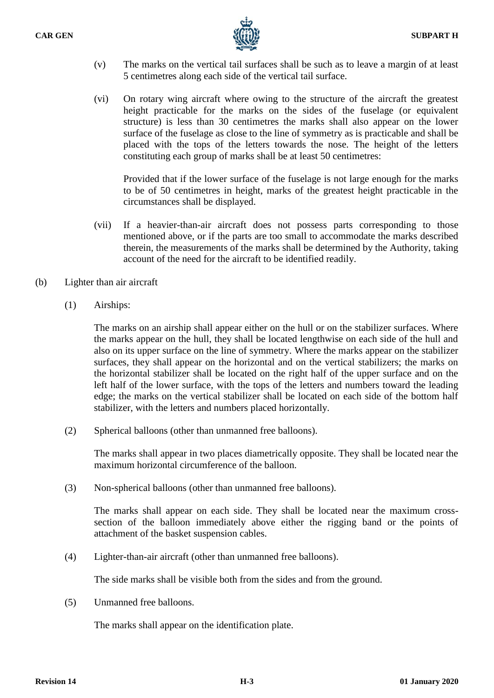

- (v) The marks on the vertical tail surfaces shall be such as to leave a margin of at least 5 centimetres along each side of the vertical tail surface.
- (vi) On rotary wing aircraft where owing to the structure of the aircraft the greatest height practicable for the marks on the sides of the fuselage (or equivalent structure) is less than 30 centimetres the marks shall also appear on the lower surface of the fuselage as close to the line of symmetry as is practicable and shall be placed with the tops of the letters towards the nose. The height of the letters constituting each group of marks shall be at least 50 centimetres:

Provided that if the lower surface of the fuselage is not large enough for the marks to be of 50 centimetres in height, marks of the greatest height practicable in the circumstances shall be displayed.

- (vii) If a heavier-than-air aircraft does not possess parts corresponding to those mentioned above, or if the parts are too small to accommodate the marks described therein, the measurements of the marks shall be determined by the Authority, taking account of the need for the aircraft to be identified readily.
- (b) Lighter than air aircraft
	- (1) Airships:

The marks on an airship shall appear either on the hull or on the stabilizer surfaces. Where the marks appear on the hull, they shall be located lengthwise on each side of the hull and also on its upper surface on the line of symmetry. Where the marks appear on the stabilizer surfaces, they shall appear on the horizontal and on the vertical stabilizers; the marks on the horizontal stabilizer shall be located on the right half of the upper surface and on the left half of the lower surface, with the tops of the letters and numbers toward the leading edge; the marks on the vertical stabilizer shall be located on each side of the bottom half stabilizer, with the letters and numbers placed horizontally.

(2) Spherical balloons (other than unmanned free balloons).

The marks shall appear in two places diametrically opposite. They shall be located near the maximum horizontal circumference of the balloon.

(3) Non-spherical balloons (other than unmanned free balloons).

The marks shall appear on each side. They shall be located near the maximum crosssection of the balloon immediately above either the rigging band or the points of attachment of the basket suspension cables.

(4) Lighter-than-air aircraft (other than unmanned free balloons).

The side marks shall be visible both from the sides and from the ground.

(5) Unmanned free balloons.

The marks shall appear on the identification plate.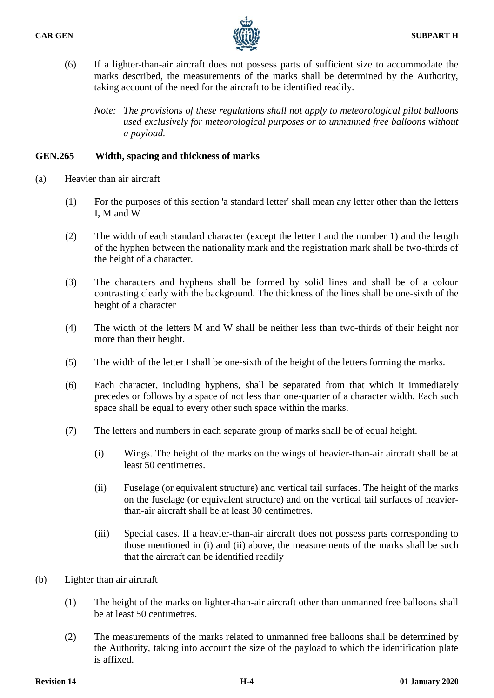

- (6) If a lighter-than-air aircraft does not possess parts of sufficient size to accommodate the marks described, the measurements of the marks shall be determined by the Authority, taking account of the need for the aircraft to be identified readily.
	- *Note: The provisions of these regulations shall not apply to meteorological pilot balloons used exclusively for meteorological purposes or to unmanned free balloons without a payload.*

# <span id="page-31-0"></span>**GEN.265 Width, spacing and thickness of marks**

- (a) Heavier than air aircraft
	- (1) For the purposes of this section 'a standard letter' shall mean any letter other than the letters I, M and W
	- (2) The width of each standard character (except the letter I and the number 1) and the length of the hyphen between the nationality mark and the registration mark shall be two-thirds of the height of a character.
	- (3) The characters and hyphens shall be formed by solid lines and shall be of a colour contrasting clearly with the background. The thickness of the lines shall be one-sixth of the height of a character
	- (4) The width of the letters M and W shall be neither less than two-thirds of their height nor more than their height.
	- (5) The width of the letter I shall be one-sixth of the height of the letters forming the marks.
	- (6) Each character, including hyphens, shall be separated from that which it immediately precedes or follows by a space of not less than one-quarter of a character width. Each such space shall be equal to every other such space within the marks.
	- (7) The letters and numbers in each separate group of marks shall be of equal height.
		- (i) Wings. The height of the marks on the wings of heavier-than-air aircraft shall be at least 50 centimetres.
		- (ii) Fuselage (or equivalent structure) and vertical tail surfaces. The height of the marks on the fuselage (or equivalent structure) and on the vertical tail surfaces of heavierthan-air aircraft shall be at least 30 centimetres.
		- (iii) Special cases. If a heavier-than-air aircraft does not possess parts corresponding to those mentioned in (i) and (ii) above, the measurements of the marks shall be such that the aircraft can be identified readily
- (b) Lighter than air aircraft
	- (1) The height of the marks on lighter-than-air aircraft other than unmanned free balloons shall be at least 50 centimetres.
	- (2) The measurements of the marks related to unmanned free balloons shall be determined by the Authority, taking into account the size of the payload to which the identification plate is affixed.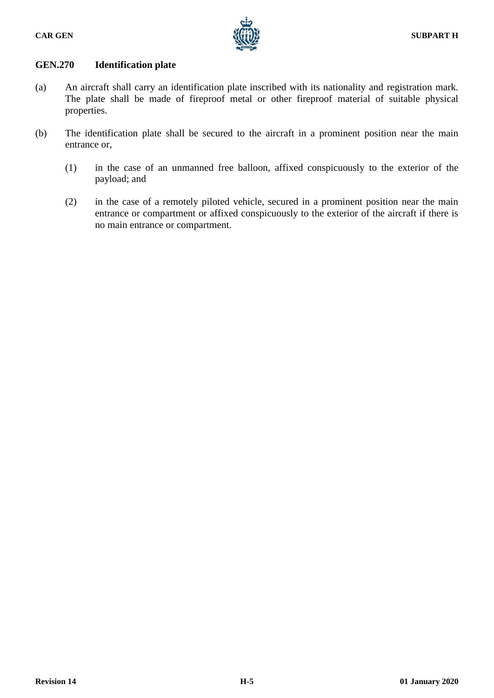# <span id="page-32-0"></span>**GEN.270 Identification plate**

- (a) An aircraft shall carry an identification plate inscribed with its nationality and registration mark. The plate shall be made of fireproof metal or other fireproof material of suitable physical properties.
- (b) The identification plate shall be secured to the aircraft in a prominent position near the main entrance or,
	- (1) in the case of an unmanned free balloon, affixed conspicuously to the exterior of the payload; and
	- (2) in the case of a remotely piloted vehicle, secured in a prominent position near the main entrance or compartment or affixed conspicuously to the exterior of the aircraft if there is no main entrance or compartment.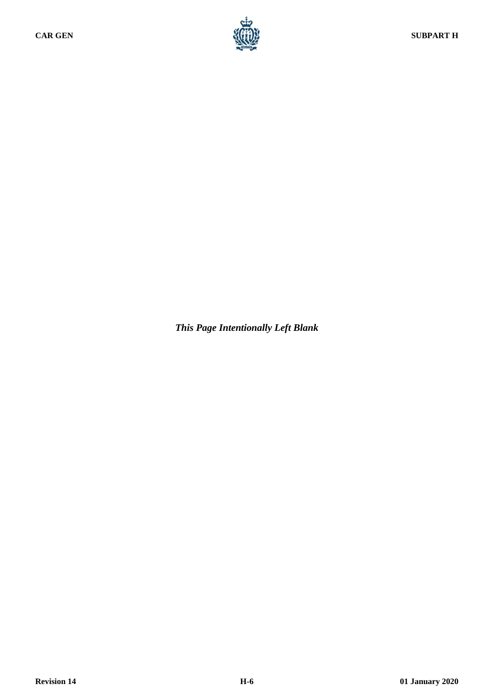

*This Page Intentionally Left Blank*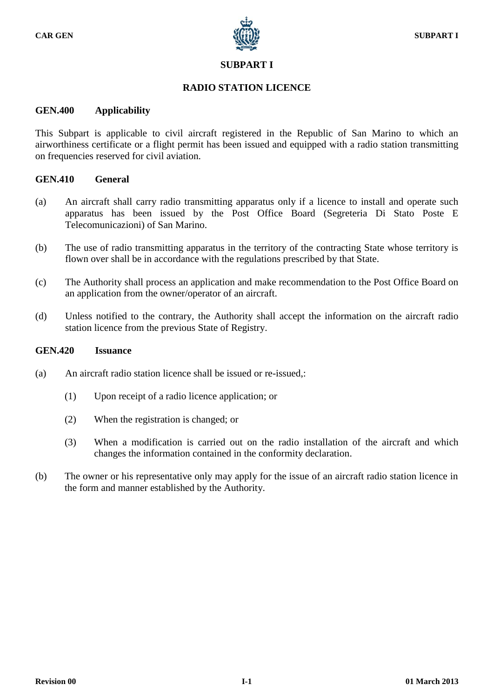

#### **SUBPART I**

# **RADIO STATION LICENCE**

#### <span id="page-34-1"></span><span id="page-34-0"></span>**GEN.400 Applicability**

This Subpart is applicable to civil aircraft registered in the Republic of San Marino to which an airworthiness certificate or a flight permit has been issued and equipped with a radio station transmitting on frequencies reserved for civil aviation.

#### <span id="page-34-2"></span>**GEN.410 General**

- (a) An aircraft shall carry radio transmitting apparatus only if a licence to install and operate such apparatus has been issued by the Post Office Board (Segreteria Di Stato Poste E Telecomunicazioni) of San Marino.
- (b) The use of radio transmitting apparatus in the territory of the contracting State whose territory is flown over shall be in accordance with the regulations prescribed by that State.
- (c) The Authority shall process an application and make recommendation to the Post Office Board on an application from the owner/operator of an aircraft.
- (d) Unless notified to the contrary, the Authority shall accept the information on the aircraft radio station licence from the previous State of Registry.

#### <span id="page-34-3"></span>**GEN.420 Issuance**

- (a) An aircraft radio station licence shall be issued or re-issued,:
	- (1) Upon receipt of a radio licence application; or
	- (2) When the registration is changed; or
	- (3) When a modification is carried out on the radio installation of the aircraft and which changes the information contained in the conformity declaration.
- (b) The owner or his representative only may apply for the issue of an aircraft radio station licence in the form and manner established by the Authority.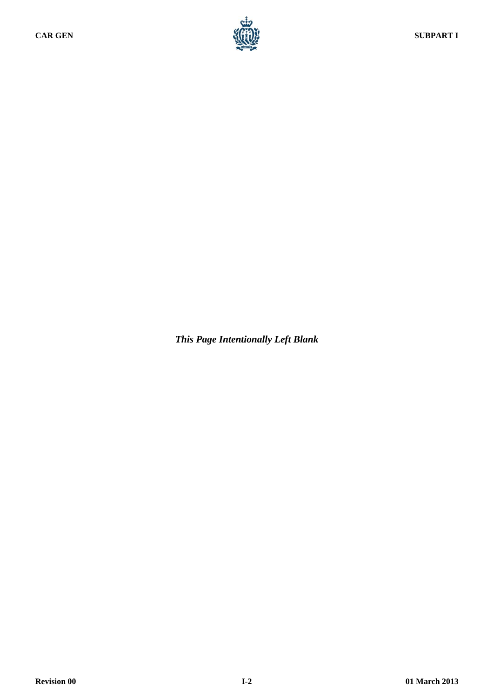

*This Page Intentionally Left Blank*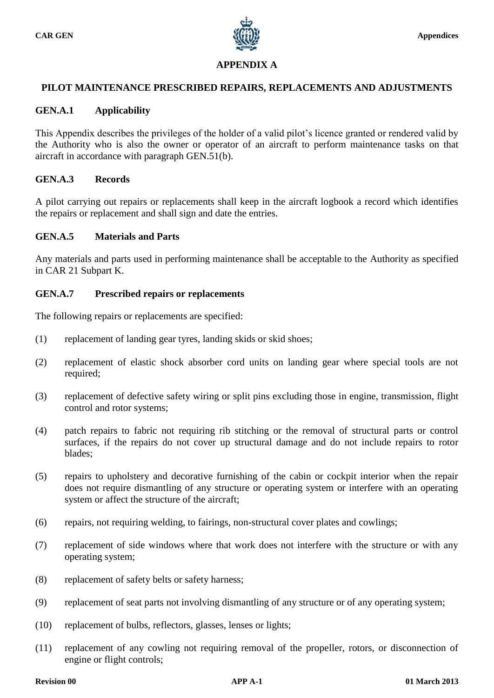

# **APPENDIX A**

# <span id="page-36-0"></span>**PILOT MAINTENANCE PRESCRIBED REPAIRS, REPLACEMENTS AND ADJUSTMENTS**

# **GEN.A.1 Applicability**

This Appendix describes the privileges of the holder of a valid pilot's licence granted or rendered valid by the Authority who is also the owner or operator of an aircraft to perform maintenance tasks on that aircraft in accordance with paragraph GEN.51(b).

# **GEN.A.3 Records**

A pilot carrying out repairs or replacements shall keep in the aircraft logbook a record which identifies the repairs or replacement and shall sign and date the entries.

# **GEN.A.5 Materials and Parts**

Any materials and parts used in performing maintenance shall be acceptable to the Authority as specified in CAR 21 Subpart K.

# **GEN.A.7 Prescribed repairs or replacements**

The following repairs or replacements are specified:

- (1) replacement of landing gear tyres, landing skids or skid shoes;
- (2) replacement of elastic shock absorber cord units on landing gear where special tools are not required;
- (3) replacement of defective safety wiring or split pins excluding those in engine, transmission, flight control and rotor systems;
- (4) patch repairs to fabric not requiring rib stitching or the removal of structural parts or control surfaces, if the repairs do not cover up structural damage and do not include repairs to rotor blades;
- (5) repairs to upholstery and decorative furnishing of the cabin or cockpit interior when the repair does not require dismantling of any structure or operating system or interfere with an operating system or affect the structure of the aircraft;
- (6) repairs, not requiring welding, to fairings, non-structural cover plates and cowlings;
- (7) replacement of side windows where that work does not interfere with the structure or with any operating system;
- (8) replacement of safety belts or safety harness;
- (9) replacement of seat parts not involving dismantling of any structure or of any operating system;
- (10) replacement of bulbs, reflectors, glasses, lenses or lights;
- (11) replacement of any cowling not requiring removal of the propeller, rotors, or disconnection of engine or flight controls;